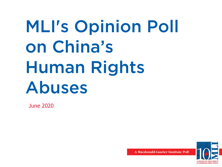# MLI's Opinion Poll on China's Human Rights Abuses

June 2020

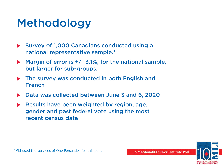# Methodology

- $\triangleright$  Survey of 1,000 Canadians conducted using a national representative sample.\*
- $\blacktriangleright$  Margin of error is  $+/-$  3.1%, for the national sample, but larger for sub-groups.
- $\triangleright$  The survey was conducted in both English and French
- Data was collected between June 3 and 6, 2020
- Results have been weighted by region, age, gender and past federal vote using the most recent census data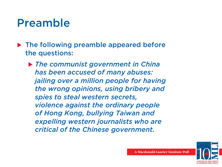# Preamble

 $\blacktriangleright$  The following preamble appeared before the questions:

u *The communist government in China has been accused of many abuses: jailing over a million people for having the wrong opinions, using bribery and spies to steal western secrets, violence against the ordinary people of Hong Kong, bullying Taiwan and expelling western journalists who are critical of the Chinese government.*

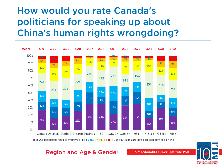### How would you rate Canada's politicians for speaking up about China's human rights wrongdoing?



1: Our politicians need to improve a lot  $\neq 2$   $\neq 3$   $\neq 4$   $\neq 5$   $\neq 6$   $\neq 7$ : Our politicians are doing an excellent job on this

#### Region and Age & Gender

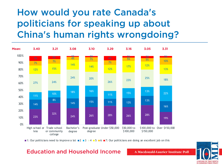## How would you rate Canada's politicians for speaking up about China's human rights wrongdoing?



**1:** Our politicians need to improve a lot **2 3 4 5 6 7:** Our politicians are doing an excellent job on this

#### Education and Household Income

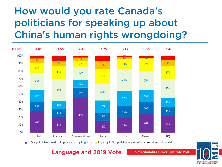# How would you rate Canada's politicians for speaking up about China's human rights wrongdoing?



1: Our politicians need to improve a lot  $\blacksquare$  2  $\blacksquare$  3  $\blacksquare$  4  $\blacksquare$  5  $\blacksquare$  6  $\blacksquare$  7: Our politicians are doing an excellent job on this

#### Language and 2019 Vote

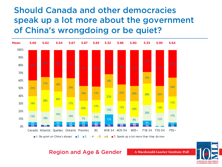### Should Canada and other democracies speak up a lot more about the government of China's wrongdoing or be quiet?



#### Region and Age & Gender

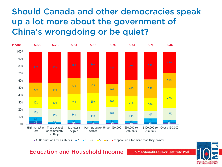### Should Canada and other democracies speak up a lot more about the government of China's wrongdoing or be quiet?



**1:** Be quiet on China's abuses **2 3 4 5 6 7**: Speak up a lot more than they do now

#### Education and Household Income